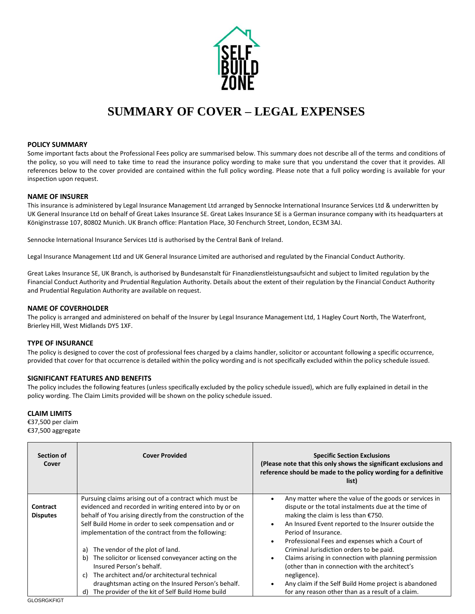

# **SUMMARY OF COVER – LEGAL EXPENSES**

### **POLICY SUMMARY**

Some important facts about the Professional Fees policy are summarised below. This summary does not describe all of the terms and conditions of the policy, so you will need to take time to read the insurance policy wording to make sure that you understand the cover that it provides. All references below to the cover provided are contained within the full policy wording. Please note that a full policy wording is available for your inspection upon request.

### **NAME OF INSURER**

This insurance is administered by Legal Insurance Management Ltd arranged by Sennocke International Insurance Services Ltd & underwritten by UK General Insurance Ltd on behalf of Great Lakes Insurance SE. Great Lakes Insurance SE is a German insurance company with its headquarters at Königinstrasse 107, 80802 Munich. UK Branch office: Plantation Place, 30 Fenchurch Street, London, EC3M 3AJ.

Sennocke International Insurance Services Ltd is authorised by the Central Bank of Ireland.

Legal Insurance Management Ltd and UK General Insurance Limited are authorised and regulated by the Financial Conduct Authority.

Great Lakes Insurance SE, UK Branch, is authorised by Bundesanstalt für Finanzdienstleistungsaufsicht and subject to limited regulation by the Financial Conduct Authority and Prudential Regulation Authority. Details about the extent of their regulation by the Financial Conduct Authority and Prudential Regulation Authority are available on request.

#### **NAME OF COVERHOLDER**

The policy is arranged and administered on behalf of the Insurer by Legal Insurance Management Ltd, 1 Hagley Court North, The Waterfront, Brierley Hill, West Midlands DY5 1XF.

#### **TYPE OF INSURANCE**

The policy is designed to cover the cost of professional fees charged by a claims handler, solicitor or accountant following a specific occurrence, provided that cover for that occurrence is detailed within the policy wording and is not specifically excluded within the policy schedule issued.

# **SIGNIFICANT FEATURES AND BENEFITS**

The policy includes the following features (unless specifically excluded by the policy schedule issued), which are fully explained in detail in the policy wording. The Claim Limits provided will be shown on the policy schedule issued.

# **CLAIM LIMITS**

 $\overline{ }$ 

€37,500 per claim €37,500 aggregate

| Section of<br><b>Cover</b>  | <b>Cover Provided</b>                                                                                                                                                                                                                                                                                | <b>Specific Section Exclusions</b><br>(Please note that this only shows the significant exclusions and<br>reference should be made to the policy wording for a definitive<br>list)                                                                                                                                               |
|-----------------------------|------------------------------------------------------------------------------------------------------------------------------------------------------------------------------------------------------------------------------------------------------------------------------------------------------|----------------------------------------------------------------------------------------------------------------------------------------------------------------------------------------------------------------------------------------------------------------------------------------------------------------------------------|
| Contract<br><b>Disputes</b> | Pursuing claims arising out of a contract which must be<br>evidenced and recorded in writing entered into by or on<br>behalf of You arising directly from the construction of the<br>Self Build Home in order to seek compensation and or<br>implementation of the contract from the following:      | Any matter where the value of the goods or services in<br>$\bullet$<br>dispute or the total instalments due at the time of<br>making the claim is less than $£750.$<br>An Insured Event reported to the Insurer outside the<br>$\bullet$<br>Period of Insurance.<br>Professional Fees and expenses which a Court of<br>$\bullet$ |
|                             | The vendor of the plot of land.<br>a)<br>The solicitor or licensed conveyancer acting on the<br>b)<br>Insured Person's behalf.<br>The architect and/or architectural technical<br>C)<br>draughtsman acting on the Insured Person's behalf.<br>The provider of the kit of Self Build Home build<br>d) | Criminal Jurisdiction orders to be paid.<br>Claims arising in connection with planning permission<br>$\bullet$<br>(other than in connection with the architect's<br>negligence).<br>Any claim if the Self Build Home project is abandoned<br>$\bullet$<br>for any reason other than as a result of a claim.                      |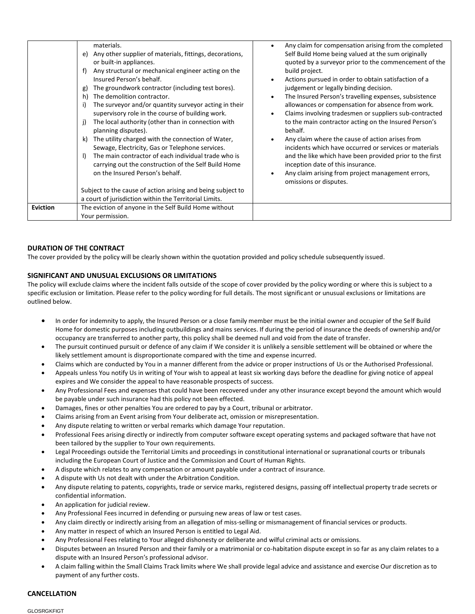|                 | materials.<br>Any other supplier of materials, fittings, decorations,<br>e)<br>or built-in appliances.<br>Any structural or mechanical engineer acting on the<br>f)<br>Insured Person's behalf.<br>The groundwork contractor (including test bores).<br>g)<br>The demolition contractor.<br>h)<br>The surveyor and/or quantity surveyor acting in their<br>supervisory role in the course of building work.<br>The local authority (other than in connection with<br>j)<br>planning disputes).<br>The utility charged with the connection of Water,<br>k)<br>Sewage, Electricity, Gas or Telephone services.<br>The main contractor of each individual trade who is<br>Ð<br>carrying out the construction of the Self Build Home<br>on the Insured Person's behalf.<br>Subject to the cause of action arising and being subject to<br>a court of jurisdiction within the Territorial Limits. | Any claim for compensation arising from the completed<br>Self Build Home being valued at the sum originally<br>quoted by a surveyor prior to the commencement of the<br>build project.<br>Actions pursued in order to obtain satisfaction of a<br>judgement or legally binding decision.<br>The Insured Person's travelling expenses, subsistence<br>allowances or compensation for absence from work.<br>Claims involving tradesmen or suppliers sub-contracted<br>to the main contractor acting on the Insured Person's<br>behalf.<br>Any claim where the cause of action arises from<br>incidents which have occurred or services or materials<br>and the like which have been provided prior to the first<br>inception date of this insurance.<br>Any claim arising from project management errors,<br>omissions or disputes. |
|-----------------|----------------------------------------------------------------------------------------------------------------------------------------------------------------------------------------------------------------------------------------------------------------------------------------------------------------------------------------------------------------------------------------------------------------------------------------------------------------------------------------------------------------------------------------------------------------------------------------------------------------------------------------------------------------------------------------------------------------------------------------------------------------------------------------------------------------------------------------------------------------------------------------------|-----------------------------------------------------------------------------------------------------------------------------------------------------------------------------------------------------------------------------------------------------------------------------------------------------------------------------------------------------------------------------------------------------------------------------------------------------------------------------------------------------------------------------------------------------------------------------------------------------------------------------------------------------------------------------------------------------------------------------------------------------------------------------------------------------------------------------------|
| <b>Eviction</b> | The eviction of anyone in the Self Build Home without<br>Your permission.                                                                                                                                                                                                                                                                                                                                                                                                                                                                                                                                                                                                                                                                                                                                                                                                                    |                                                                                                                                                                                                                                                                                                                                                                                                                                                                                                                                                                                                                                                                                                                                                                                                                                   |

# **DURATION OF THE CONTRACT**

The cover provided by the policy will be clearly shown within the quotation provided and policy schedule subsequently issued.

# **SIGNIFICANT AND UNUSUAL EXCLUSIONS OR LIMITATIONS**

The policy will exclude claims where the incident falls outside of the scope of cover provided by the policy wording or where this is subject to a specific exclusion or limitation. Please refer to the policy wording for full details. The most significant or unusual exclusions or limitations are outlined below.

- In order for indemnity to apply, the Insured Person or a close family member must be the initial owner and occupier of the Self Build Home for domestic purposes including outbuildings and mains services. If during the period of insurance the deeds of ownership and/or occupancy are transferred to another party, this policy shall be deemed null and void from the date of transfer.
- The pursuit continued pursuit or defence of any claim if We consider it is unlikely a sensible settlement will be obtained or where the likely settlement amount is disproportionate compared with the time and expense incurred.
- Claims which are conducted by You in a manner different from the advice or proper instructions of Us or the Authorised Professional.
- Appeals unless You notify Us in writing of Your wish to appeal at least six working days before the deadline for giving notice of appeal expires and We consider the appeal to have reasonable prospects of success.
- Any Professional Fees and expenses that could have been recovered under any other insurance except beyond the amount which would be payable under such insurance had this policy not been effected.
- Damages, fines or other penalties You are ordered to pay by a Court, tribunal or arbitrator.
- Claims arising from an Event arising from Your deliberate act, omission or misrepresentation.
- Any dispute relating to written or verbal remarks which damage Your reputation.
- Professional Fees arising directly or indirectly from computer software except operating systems and packaged software that have not been tailored by the supplier to Your own requirements.
- Legal Proceedings outside the Territorial Limits and proceedings in constitutional international or supranational courts or tribunals including the European Court of Justice and the Commission and Court of Human Rights.
- A dispute which relates to any compensation or amount payable under a contract of insurance.
- A dispute with Us not dealt with under the Arbitration Condition.
- Any dispute relating to patents, copyrights, trade or service marks, registered designs, passing off intellectual property trade secrets or confidential information.
- An application for judicial review.
- Any Professional Fees incurred in defending or pursuing new areas of law or test cases.
- Any claim directly or indirectly arising from an allegation of miss-selling or mismanagement of financial services or products.
- Any matter in respect of which an Insured Person is entitled to Legal Aid.
- Any Professional Fees relating to Your alleged dishonesty or deliberate and wilful criminal acts or omissions.
- Disputes between an Insured Person and their family or a matrimonial or co-habitation dispute except in so far as any claim relates to a dispute with an Insured Person's professional advisor.
- A claim falling within the Small Claims Track limits where We shall provide legal advice and assistance and exercise Our discretion as to payment of any further costs.

# **CANCELLATION**